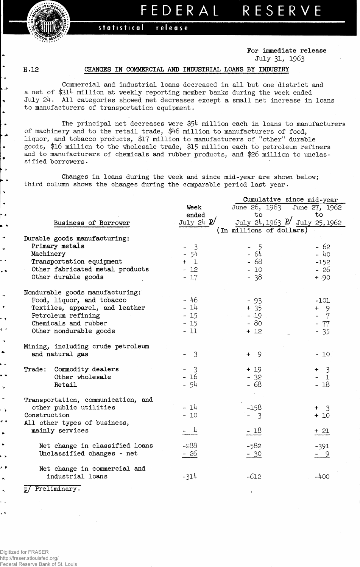**FEDERA L RESERV E**

## statistical **release**

**For immediate release** July 31, 1963

**H .12**

ن ا

 $\overline{\phantom{a}}$ ٠. ان د  $\ddot{\phantom{0}}$ ۰.

 $\overline{\phantom{a}}$ 

.,

## **CHANGES IN COMMERCIAL AND INDUSTRIAL LOANS BY INDUSTRY**

Commercial and industrial loans decreased in all but one district and a net of \$314 million at weekly reporting member banks during the week ended July 24. All categories showed net decreases except a small net increase in loans to manufacturers of transportation equipment.

The principal net decreases were \$54 million each in loans to manufacturers of machinery and to the retail trade, \$46 million to manufacturers of food, liquor, and tobacco products, \$17 million to manufacturers of "other" durable goods, \$16 million to the wholesale trade, \$15 million each to petroleum refiners and to manufacturers of chemicals and rubber products, and \$26 million to unclassified borrowers.

Changes in loans during the week and since mid-year are shown below; third column shows the changes during the comparable period last year.

|                                    |                       | Cumulative since mid-year     |                       |
|------------------------------------|-----------------------|-------------------------------|-----------------------|
|                                    | Week                  | June 26, 1963 June 27, 1962   |                       |
|                                    | ended                 | to                            | to.                   |
| Business of Borrower               | July 24 $\mathbb{P}'$ | July 24, 1963 2 July 25, 1962 |                       |
|                                    |                       | (In millions of dollars)      |                       |
| Durable goods manufacturing:       |                       |                               |                       |
| Primary metals                     | $-3$                  | $-5$                          | $-62$                 |
| Machinery                          | - 54                  | $-64$                         | $-40$                 |
| Transportation equipment           | $+$ 1                 | $-68$                         | $-152$                |
| Other fabricated metal products    | $-12$                 | $-10$                         | $-26$                 |
| Other durable goods                | $-17$                 | $-38$                         | $+90$                 |
| Nondurable goods manufacturing:    |                       |                               |                       |
| Food, liquor, and tobacco          | $-46$                 | $-93$                         | $-101$                |
| Textiles, apparel, and leather     | $-14$                 | $+ 35$                        | $+ 9$                 |
| Petroleum refining                 | $-15$                 | $-19$                         | $-7$                  |
| Chemicals and rubber               | $-15$                 | $-80$                         | $-77$                 |
| Other nondurable goods             | $-11$                 | $+12$                         | $-35$                 |
| Mining, including crude petroleum  |                       |                               |                       |
| and natural gas                    | $-3$                  | $+ 9$                         | $-10$                 |
| Trade: Commodity dealers           | $-3$                  | $+19$                         | $\overline{3}$<br>$+$ |
| Other wholesale                    | $-16$                 | $-32$                         | $-1$                  |
| Retail                             | $-54$                 | $-68$                         | $-18$                 |
| Transportation, communication, and |                       |                               |                       |
| other public utilities             | $-14$                 | $-158$                        | $+$ 3                 |
| Construction                       | $-10$                 | $-3$                          | $+10$                 |
| All other types of business,       |                       |                               |                       |
| mainly services                    | $- 4$                 | $-18$                         | $+ 21$                |
| Net change in classified loans     | $-288$                | $-582$                        | $-391$                |
| Unclassified changes - net         | $-26$                 | $-30$                         | $-9$                  |
| Net change in commercial and       |                       |                               |                       |
| industrial loans                   | $-314$                | $-612$                        | $-400$                |
| Preliminary.<br>/ ס                |                       |                               |                       |